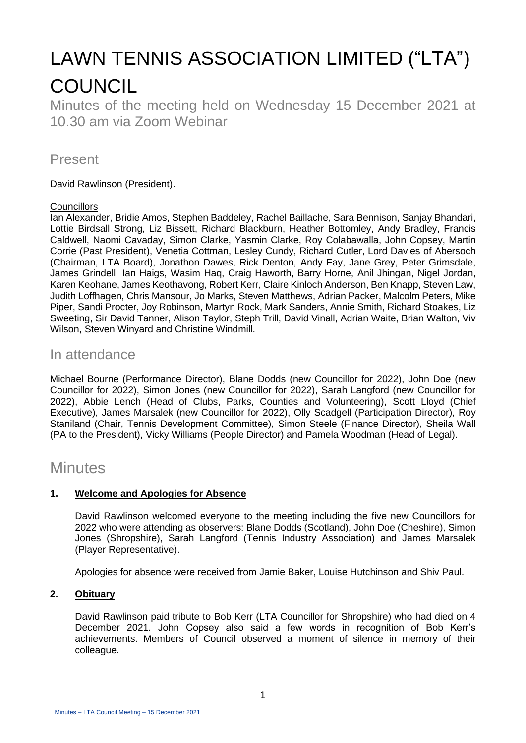# LAWN TENNIS ASSOCIATION LIMITED ("LTA") **COUNCIL**

Minutes of the meeting held on Wednesday 15 December 2021 at 10.30 am via Zoom Webinar

# Present

David Rawlinson (President).

#### **Councillors**

Ian Alexander, Bridie Amos, Stephen Baddeley, Rachel Baillache, Sara Bennison, Sanjay Bhandari, Lottie Birdsall Strong, Liz Bissett, Richard Blackburn, Heather Bottomley, Andy Bradley, Francis Caldwell, Naomi Cavaday, Simon Clarke, Yasmin Clarke, Roy Colabawalla, John Copsey, Martin Corrie (Past President), Venetia Cottman, Lesley Cundy, Richard Cutler, Lord Davies of Abersoch (Chairman, LTA Board), Jonathon Dawes, Rick Denton, Andy Fay, Jane Grey, Peter Grimsdale, James Grindell, Ian Haigs, Wasim Haq, Craig Haworth, Barry Horne, Anil Jhingan, Nigel Jordan, Karen Keohane, James Keothavong, Robert Kerr, Claire Kinloch Anderson, Ben Knapp, Steven Law, Judith Loffhagen, Chris Mansour, Jo Marks, Steven Matthews, Adrian Packer, Malcolm Peters, Mike Piper, Sandi Procter, Joy Robinson, Martyn Rock, Mark Sanders, Annie Smith, Richard Stoakes, Liz Sweeting, Sir David Tanner, Alison Taylor, Steph Trill, David Vinall, Adrian Waite, Brian Walton, Viv Wilson, Steven Winyard and Christine Windmill.

# In attendance

Michael Bourne (Performance Director), Blane Dodds (new Councillor for 2022), John Doe (new Councillor for 2022), Simon Jones (new Councillor for 2022), Sarah Langford (new Councillor for 2022), Abbie Lench (Head of Clubs, Parks, Counties and Volunteering), Scott Lloyd (Chief Executive), James Marsalek (new Councillor for 2022), Olly Scadgell (Participation Director), Roy Staniland (Chair, Tennis Development Committee), Simon Steele (Finance Director), Sheila Wall (PA to the President), Vicky Williams (People Director) and Pamela Woodman (Head of Legal).

# **Minutes**

# **1. Welcome and Apologies for Absence**

David Rawlinson welcomed everyone to the meeting including the five new Councillors for 2022 who were attending as observers: Blane Dodds (Scotland), John Doe (Cheshire), Simon Jones (Shropshire), Sarah Langford (Tennis Industry Association) and James Marsalek (Player Representative).

Apologies for absence were received from Jamie Baker, Louise Hutchinson and Shiv Paul.

#### **2. Obituary**

David Rawlinson paid tribute to Bob Kerr (LTA Councillor for Shropshire) who had died on 4 December 2021. John Copsey also said a few words in recognition of Bob Kerr's achievements. Members of Council observed a moment of silence in memory of their colleague.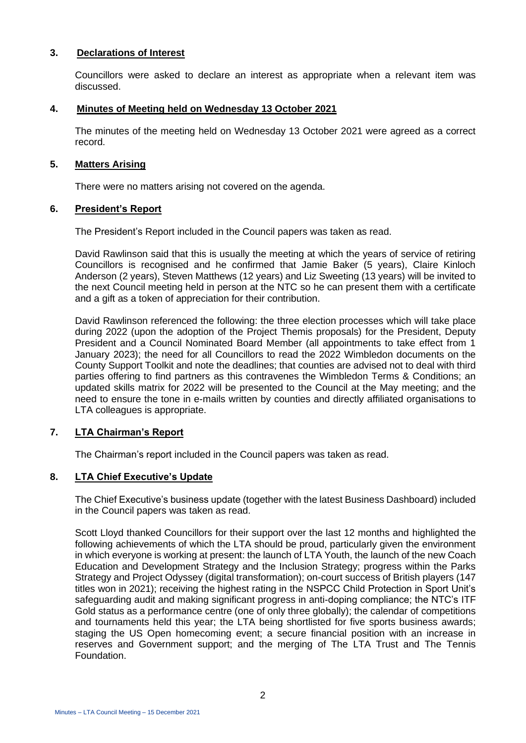#### **3. Declarations of Interest**

Councillors were asked to declare an interest as appropriate when a relevant item was discussed.

#### **4. Minutes of Meeting held on Wednesday 13 October 2021**

The minutes of the meeting held on Wednesday 13 October 2021 were agreed as a correct record.

#### **5. Matters Arising**

There were no matters arising not covered on the agenda.

#### **6. President's Report**

The President's Report included in the Council papers was taken as read.

David Rawlinson said that this is usually the meeting at which the years of service of retiring Councillors is recognised and he confirmed that Jamie Baker (5 years), Claire Kinloch Anderson (2 years), Steven Matthews (12 years) and Liz Sweeting (13 years) will be invited to the next Council meeting held in person at the NTC so he can present them with a certificate and a gift as a token of appreciation for their contribution.

David Rawlinson referenced the following: the three election processes which will take place during 2022 (upon the adoption of the Project Themis proposals) for the President, Deputy President and a Council Nominated Board Member (all appointments to take effect from 1 January 2023); the need for all Councillors to read the 2022 Wimbledon documents on the County Support Toolkit and note the deadlines; that counties are advised not to deal with third parties offering to find partners as this contravenes the Wimbledon Terms & Conditions; an updated skills matrix for 2022 will be presented to the Council at the May meeting; and the need to ensure the tone in e-mails written by counties and directly affiliated organisations to LTA colleagues is appropriate.

#### **7. LTA Chairman's Report**

The Chairman's report included in the Council papers was taken as read.

#### **8. LTA Chief Executive's Update**

The Chief Executive's business update (together with the latest Business Dashboard) included in the Council papers was taken as read.

Scott Lloyd thanked Councillors for their support over the last 12 months and highlighted the following achievements of which the LTA should be proud, particularly given the environment in which everyone is working at present: the launch of LTA Youth, the launch of the new Coach Education and Development Strategy and the Inclusion Strategy; progress within the Parks Strategy and Project Odyssey (digital transformation); on-court success of British players (147 titles won in 2021); receiving the highest rating in the NSPCC Child Protection in Sport Unit's safeguarding audit and making significant progress in anti-doping compliance; the NTC's ITF Gold status as a performance centre (one of only three globally); the calendar of competitions and tournaments held this year; the LTA being shortlisted for five sports business awards; staging the US Open homecoming event; a secure financial position with an increase in reserves and Government support; and the merging of The LTA Trust and The Tennis Foundation.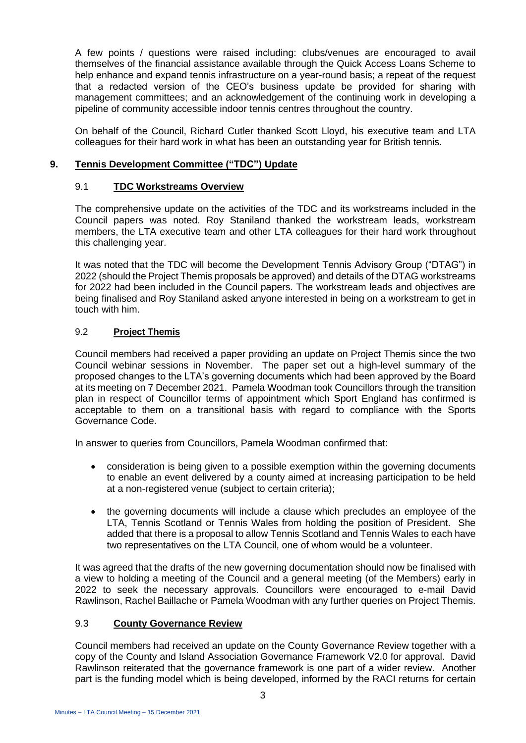A few points / questions were raised including: clubs/venues are encouraged to avail themselves of the financial assistance available through the Quick Access Loans Scheme to help enhance and expand tennis infrastructure on a year-round basis; a repeat of the request that a redacted version of the CEO's business update be provided for sharing with management committees; and an acknowledgement of the continuing work in developing a pipeline of community accessible indoor tennis centres throughout the country.

On behalf of the Council, Richard Cutler thanked Scott Lloyd, his executive team and LTA colleagues for their hard work in what has been an outstanding year for British tennis.

#### **9. Tennis Development Committee ("TDC") Update**

#### 9.1 **TDC Workstreams Overview**

The comprehensive update on the activities of the TDC and its workstreams included in the Council papers was noted. Roy Staniland thanked the workstream leads, workstream members, the LTA executive team and other LTA colleagues for their hard work throughout this challenging year.

It was noted that the TDC will become the Development Tennis Advisory Group ("DTAG") in 2022 (should the Project Themis proposals be approved) and details of the DTAG workstreams for 2022 had been included in the Council papers. The workstream leads and objectives are being finalised and Roy Staniland asked anyone interested in being on a workstream to get in touch with him.

# 9.2 **Project Themis**

Council members had received a paper providing an update on Project Themis since the two Council webinar sessions in November. The paper set out a high-level summary of the proposed changes to the LTA's governing documents which had been approved by the Board at its meeting on 7 December 2021. Pamela Woodman took Councillors through the transition plan in respect of Councillor terms of appointment which Sport England has confirmed is acceptable to them on a transitional basis with regard to compliance with the Sports Governance Code.

In answer to queries from Councillors, Pamela Woodman confirmed that:

- consideration is being given to a possible exemption within the governing documents to enable an event delivered by a county aimed at increasing participation to be held at a non-registered venue (subject to certain criteria);
- the governing documents will include a clause which precludes an employee of the LTA, Tennis Scotland or Tennis Wales from holding the position of President. She added that there is a proposal to allow Tennis Scotland and Tennis Wales to each have two representatives on the LTA Council, one of whom would be a volunteer.

It was agreed that the drafts of the new governing documentation should now be finalised with a view to holding a meeting of the Council and a general meeting (of the Members) early in 2022 to seek the necessary approvals. Councillors were encouraged to e-mail David Rawlinson, Rachel Baillache or Pamela Woodman with any further queries on Project Themis.

#### 9.3 **County Governance Review**

Council members had received an update on the County Governance Review together with a copy of the County and Island Association Governance Framework V2.0 for approval. David Rawlinson reiterated that the governance framework is one part of a wider review. Another part is the funding model which is being developed, informed by the RACI returns for certain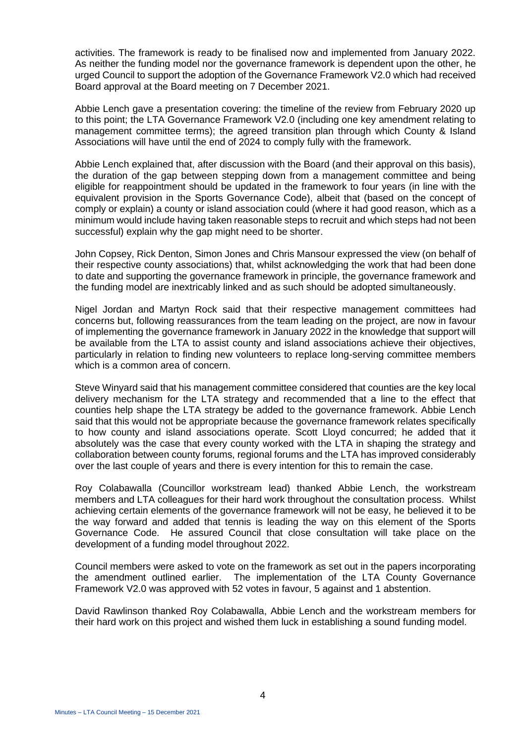activities. The framework is ready to be finalised now and implemented from January 2022. As neither the funding model nor the governance framework is dependent upon the other, he urged Council to support the adoption of the Governance Framework V2.0 which had received Board approval at the Board meeting on 7 December 2021.

Abbie Lench gave a presentation covering: the timeline of the review from February 2020 up to this point; the LTA Governance Framework V2.0 (including one key amendment relating to management committee terms); the agreed transition plan through which County & Island Associations will have until the end of 2024 to comply fully with the framework.

Abbie Lench explained that, after discussion with the Board (and their approval on this basis), the duration of the gap between stepping down from a management committee and being eligible for reappointment should be updated in the framework to four years (in line with the equivalent provision in the Sports Governance Code), albeit that (based on the concept of comply or explain) a county or island association could (where it had good reason, which as a minimum would include having taken reasonable steps to recruit and which steps had not been successful) explain why the gap might need to be shorter.

John Copsey, Rick Denton, Simon Jones and Chris Mansour expressed the view (on behalf of their respective county associations) that, whilst acknowledging the work that had been done to date and supporting the governance framework in principle, the governance framework and the funding model are inextricably linked and as such should be adopted simultaneously.

Nigel Jordan and Martyn Rock said that their respective management committees had concerns but, following reassurances from the team leading on the project, are now in favour of implementing the governance framework in January 2022 in the knowledge that support will be available from the LTA to assist county and island associations achieve their objectives, particularly in relation to finding new volunteers to replace long-serving committee members which is a common area of concern.

Steve Winyard said that his management committee considered that counties are the key local delivery mechanism for the LTA strategy and recommended that a line to the effect that counties help shape the LTA strategy be added to the governance framework. Abbie Lench said that this would not be appropriate because the governance framework relates specifically to how county and island associations operate. Scott Lloyd concurred; he added that it absolutely was the case that every county worked with the LTA in shaping the strategy and collaboration between county forums, regional forums and the LTA has improved considerably over the last couple of years and there is every intention for this to remain the case.

Roy Colabawalla (Councillor workstream lead) thanked Abbie Lench, the workstream members and LTA colleagues for their hard work throughout the consultation process. Whilst achieving certain elements of the governance framework will not be easy, he believed it to be the way forward and added that tennis is leading the way on this element of the Sports Governance Code. He assured Council that close consultation will take place on the development of a funding model throughout 2022.

Council members were asked to vote on the framework as set out in the papers incorporating the amendment outlined earlier. The implementation of the LTA County Governance Framework V2.0 was approved with 52 votes in favour, 5 against and 1 abstention.

David Rawlinson thanked Roy Colabawalla, Abbie Lench and the workstream members for their hard work on this project and wished them luck in establishing a sound funding model.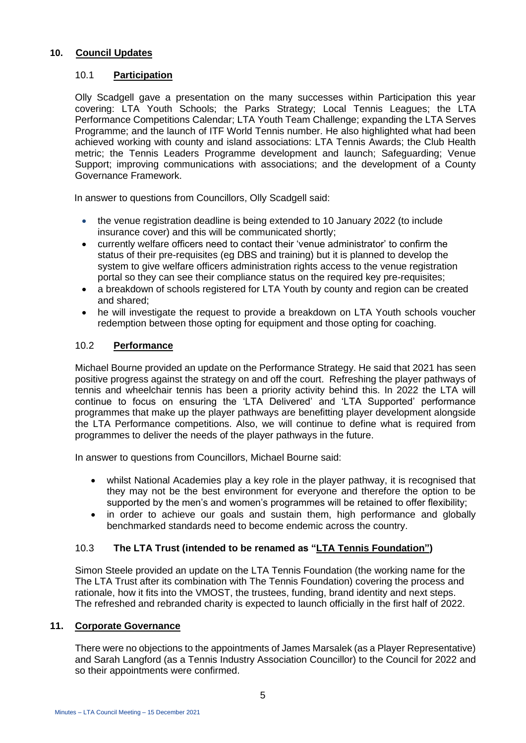#### **10. Council Updates**

#### 10.1 **Participation**

Olly Scadgell gave a presentation on the many successes within Participation this year covering: LTA Youth Schools; the Parks Strategy; Local Tennis Leagues; the LTA Performance Competitions Calendar; LTA Youth Team Challenge; expanding the LTA Serves Programme; and the launch of ITF World Tennis number. He also highlighted what had been achieved working with county and island associations: LTA Tennis Awards; the Club Health metric; the Tennis Leaders Programme development and launch; Safeguarding; Venue Support; improving communications with associations; and the development of a County Governance Framework.

In answer to questions from Councillors, Olly Scadgell said:

- the venue registration deadline is being extended to 10 January 2022 (to include insurance cover) and this will be communicated shortly;
- currently welfare officers need to contact their 'venue administrator' to confirm the status of their pre-requisites (eg DBS and training) but it is planned to develop the system to give welfare officers administration rights access to the venue registration portal so they can see their compliance status on the required key pre-requisites;
- a breakdown of schools registered for LTA Youth by county and region can be created and shared;
- he will investigate the request to provide a breakdown on LTA Youth schools voucher redemption between those opting for equipment and those opting for coaching.

# 10.2 **Performance**

Michael Bourne provided an update on the Performance Strategy. He said that 2021 has seen positive progress against the strategy on and off the court. Refreshing the player pathways of tennis and wheelchair tennis has been a priority activity behind this. In 2022 the LTA will continue to focus on ensuring the 'LTA Delivered' and 'LTA Supported' performance programmes that make up the player pathways are benefitting player development alongside the LTA Performance competitions. Also, we will continue to define what is required from programmes to deliver the needs of the player pathways in the future.

In answer to questions from Councillors, Michael Bourne said:

- whilst National Academies play a key role in the player pathway, it is recognised that they may not be the best environment for everyone and therefore the option to be supported by the men's and women's programmes will be retained to offer flexibility;
- in order to achieve our goals and sustain them, high performance and globally benchmarked standards need to become endemic across the country.

# 10.3 **The LTA Trust (intended to be renamed as "LTA Tennis Foundation")**

Simon Steele provided an update on the LTA Tennis Foundation (the working name for the The LTA Trust after its combination with The Tennis Foundation) covering the process and rationale, how it fits into the VMOST, the trustees, funding, brand identity and next steps. The refreshed and rebranded charity is expected to launch officially in the first half of 2022.

# **11. Corporate Governance**

There were no objections to the appointments of James Marsalek (as a Player Representative) and Sarah Langford (as a Tennis Industry Association Councillor) to the Council for 2022 and so their appointments were confirmed.